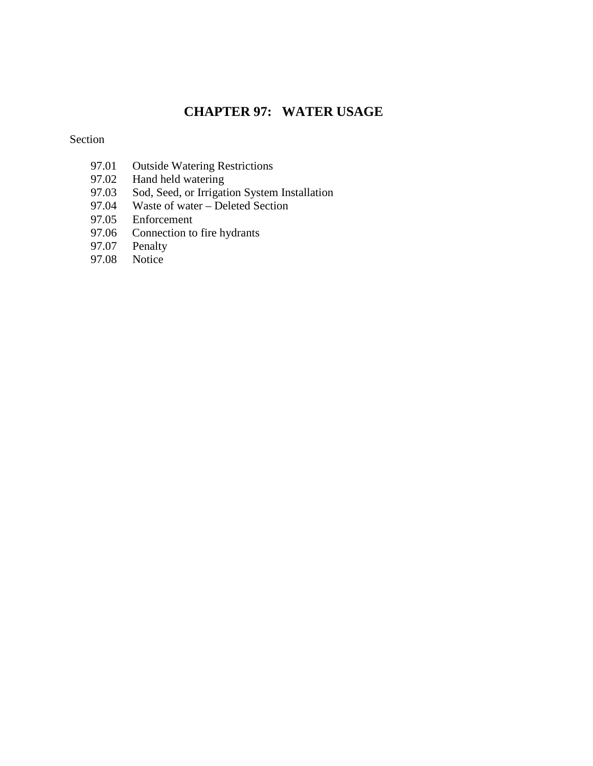# **CHAPTER 97: WATER USAGE**

Section

- 97.01 Outside Watering Restrictions<br>97.02 Hand held watering
- 97.02 Hand held watering<br>97.03 Sod, Seed, or Irrigat
- 97.03 Sod, Seed, or Irrigation System Installation
- 97.04 Waste of water Deleted Section
- 97.05 Enforcement<br>97.06 Connection to
- 97.06 Connection to fire hydrants<br>97.07 Penalty
- Penalty
- 97.08 Notice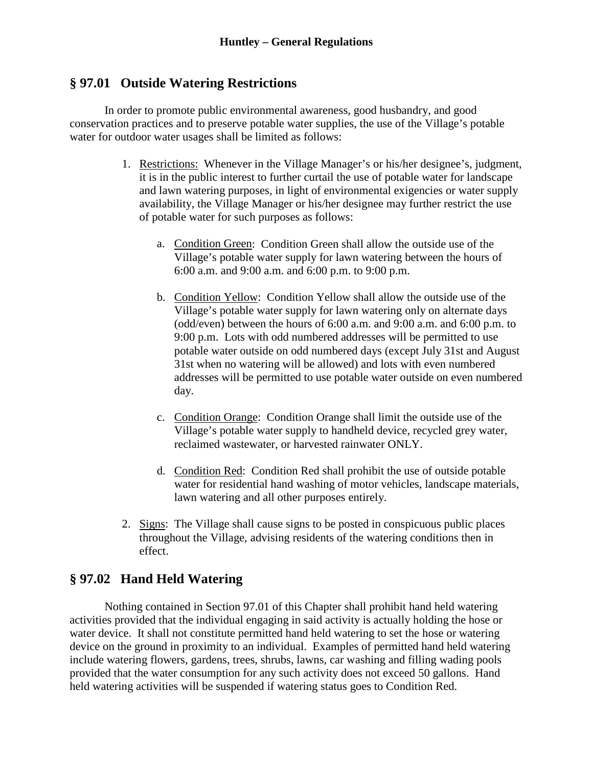## **§ 97.01 Outside Watering Restrictions**

In order to promote public environmental awareness, good husbandry, and good conservation practices and to preserve potable water supplies, the use of the Village's potable water for outdoor water usages shall be limited as follows:

- 1. Restrictions: Whenever in the Village Manager's or his/her designee's, judgment, it is in the public interest to further curtail the use of potable water for landscape and lawn watering purposes, in light of environmental exigencies or water supply availability, the Village Manager or his/her designee may further restrict the use of potable water for such purposes as follows:
	- a. Condition Green: Condition Green shall allow the outside use of the Village's potable water supply for lawn watering between the hours of 6:00 a.m. and 9:00 a.m. and 6:00 p.m. to 9:00 p.m.
	- b. Condition Yellow: Condition Yellow shall allow the outside use of the Village's potable water supply for lawn watering only on alternate days (odd/even) between the hours of 6:00 a.m. and 9:00 a.m. and 6:00 p.m. to 9:00 p.m. Lots with odd numbered addresses will be permitted to use potable water outside on odd numbered days (except July 31st and August 31st when no watering will be allowed) and lots with even numbered addresses will be permitted to use potable water outside on even numbered day.
	- c. Condition Orange: Condition Orange shall limit the outside use of the Village's potable water supply to handheld device, recycled grey water, reclaimed wastewater, or harvested rainwater ONLY.
	- d. Condition Red: Condition Red shall prohibit the use of outside potable water for residential hand washing of motor vehicles, landscape materials, lawn watering and all other purposes entirely.
- 2. Signs: The Village shall cause signs to be posted in conspicuous public places throughout the Village, advising residents of the watering conditions then in effect.

## **§ 97.02 Hand Held Watering**

Nothing contained in Section 97.01 of this Chapter shall prohibit hand held watering activities provided that the individual engaging in said activity is actually holding the hose or water device. It shall not constitute permitted hand held watering to set the hose or watering device on the ground in proximity to an individual. Examples of permitted hand held watering include watering flowers, gardens, trees, shrubs, lawns, car washing and filling wading pools provided that the water consumption for any such activity does not exceed 50 gallons. Hand held watering activities will be suspended if watering status goes to Condition Red.